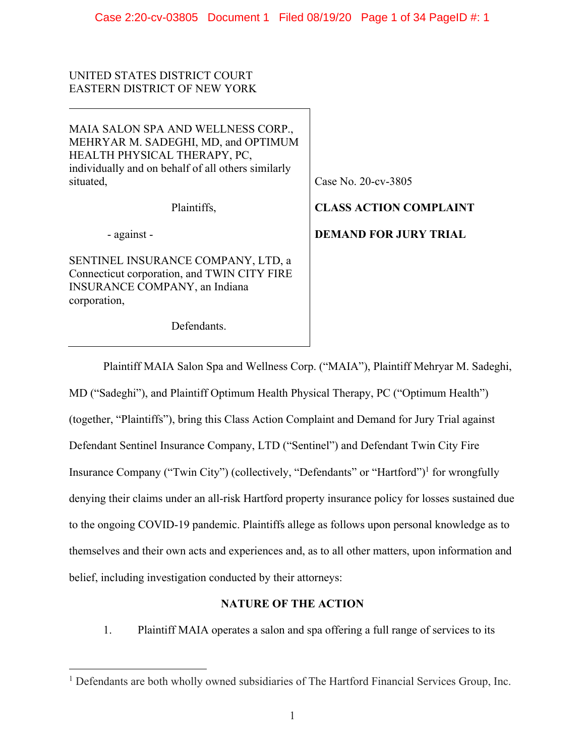UNITED STATES DISTRICT COURT EASTERN DISTRICT OF NEW YORK

MAIA SALON SPA AND WELLNESS CORP., MEHRYAR M. SADEGHI, MD, and OPTIMUM HEALTH PHYSICAL THERAPY, PC, individually and on behalf of all others similarly situated,

Plaintiffs,

- against -

SENTINEL INSURANCE COMPANY, LTD, a Connecticut corporation, and TWIN CITY FIRE INSURANCE COMPANY, an Indiana corporation,

Defendants.

Case No. 20-cv-3805

**CLASS ACTION COMPLAINT DEMAND FOR JURY TRIAL** 

Plaintiff MAIA Salon Spa and Wellness Corp. ("MAIA"), Plaintiff Mehryar M. Sadeghi, MD ("Sadeghi"), and Plaintiff Optimum Health Physical Therapy, PC ("Optimum Health") (together, "Plaintiffs"), bring this Class Action Complaint and Demand for Jury Trial against Defendant Sentinel Insurance Company, LTD ("Sentinel") and Defendant Twin City Fire Insurance Company ("Twin City") (collectively, "Defendants" or "Hartford")<sup>1</sup> for wrongfully denying their claims under an all-risk Hartford property insurance policy for losses sustained due to the ongoing COVID-19 pandemic. Plaintiffs allege as follows upon personal knowledge as to themselves and their own acts and experiences and, as to all other matters, upon information and belief, including investigation conducted by their attorneys:

# **NATURE OF THE ACTION**

1. Plaintiff MAIA operates a salon and spa offering a full range of services to its

<sup>&</sup>lt;sup>1</sup> Defendants are both wholly owned subsidiaries of The Hartford Financial Services Group, Inc.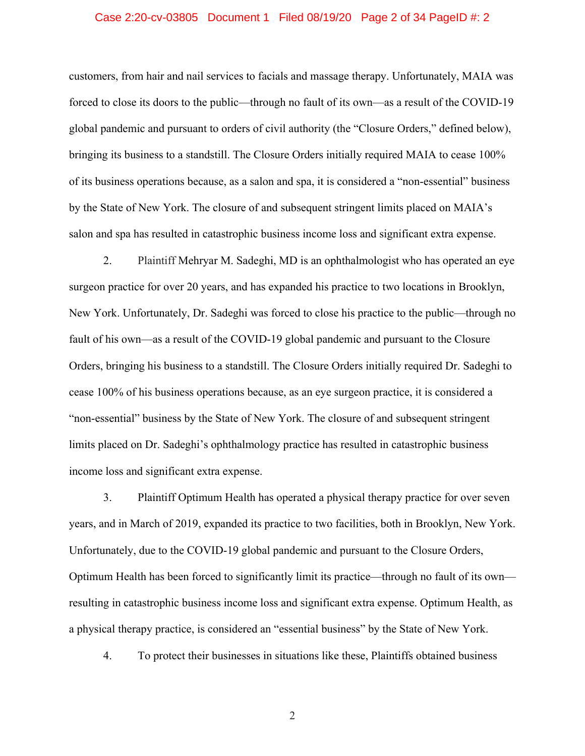### Case 2:20-cv-03805 Document 1 Filed 08/19/20 Page 2 of 34 PageID #: 2

customers, from hair and nail services to facials and massage therapy. Unfortunately, MAIA was forced to close its doors to the public—through no fault of its own—as a result of the COVID-19 global pandemic and pursuant to orders of civil authority (the "Closure Orders," defined below), bringing its business to a standstill. The Closure Orders initially required MAIA to cease 100% of its business operations because, as a salon and spa, it is considered a "non-essential" business by the State of New York. The closure of and subsequent stringent limits placed on MAIA's salon and spa has resulted in catastrophic business income loss and significant extra expense.

2. Plaintiff Mehryar M. Sadeghi, MD is an ophthalmologist who has operated an eye surgeon practice for over 20 years, and has expanded his practice to two locations in Brooklyn, New York. Unfortunately, Dr. Sadeghi was forced to close his practice to the public—through no fault of his own—as a result of the COVID-19 global pandemic and pursuant to the Closure Orders, bringing his business to a standstill. The Closure Orders initially required Dr. Sadeghi to cease 100% of his business operations because, as an eye surgeon practice, it is considered a "non-essential" business by the State of New York. The closure of and subsequent stringent limits placed on Dr. Sadeghi's ophthalmology practice has resulted in catastrophic business income loss and significant extra expense.

3. Plaintiff Optimum Health has operated a physical therapy practice for over seven years, and in March of 2019, expanded its practice to two facilities, both in Brooklyn, New York. Unfortunately, due to the COVID-19 global pandemic and pursuant to the Closure Orders, Optimum Health has been forced to significantly limit its practice—through no fault of its own resulting in catastrophic business income loss and significant extra expense. Optimum Health, as a physical therapy practice, is considered an "essential business" by the State of New York.

4. To protect their businesses in situations like these, Plaintiffs obtained business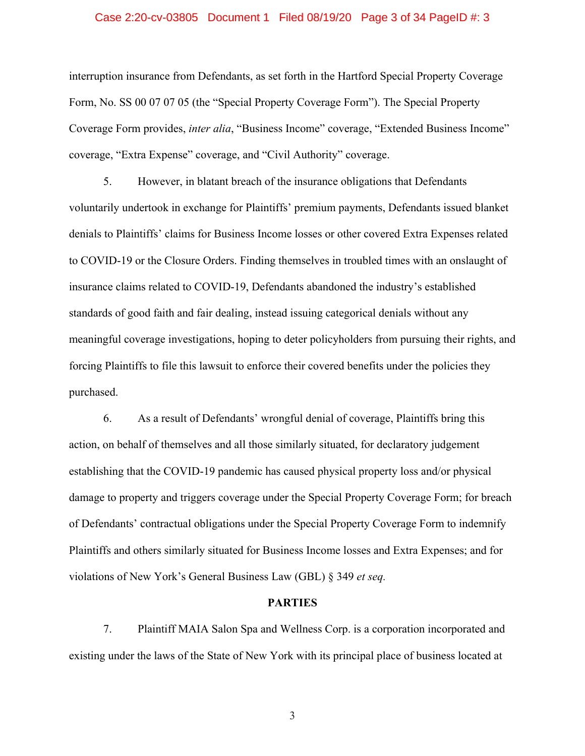### Case 2:20-cv-03805 Document 1 Filed 08/19/20 Page 3 of 34 PageID #: 3

interruption insurance from Defendants, as set forth in the Hartford Special Property Coverage Form, No. SS 00 07 07 05 (the "Special Property Coverage Form"). The Special Property Coverage Form provides, *inter alia*, "Business Income" coverage, "Extended Business Income" coverage, "Extra Expense" coverage, and "Civil Authority" coverage.

5. However, in blatant breach of the insurance obligations that Defendants voluntarily undertook in exchange for Plaintiffs' premium payments, Defendants issued blanket denials to Plaintiffs' claims for Business Income losses or other covered Extra Expenses related to COVID-19 or the Closure Orders. Finding themselves in troubled times with an onslaught of insurance claims related to COVID-19, Defendants abandoned the industry's established standards of good faith and fair dealing, instead issuing categorical denials without any meaningful coverage investigations, hoping to deter policyholders from pursuing their rights, and forcing Plaintiffs to file this lawsuit to enforce their covered benefits under the policies they purchased.

6. As a result of Defendants' wrongful denial of coverage, Plaintiffs bring this action, on behalf of themselves and all those similarly situated, for declaratory judgement establishing that the COVID-19 pandemic has caused physical property loss and/or physical damage to property and triggers coverage under the Special Property Coverage Form; for breach of Defendants' contractual obligations under the Special Property Coverage Form to indemnify Plaintiffs and others similarly situated for Business Income losses and Extra Expenses; and for violations of New York's General Business Law (GBL) § 349 *et seq.*

#### **PARTIES**

7. Plaintiff MAIA Salon Spa and Wellness Corp. is a corporation incorporated and existing under the laws of the State of New York with its principal place of business located at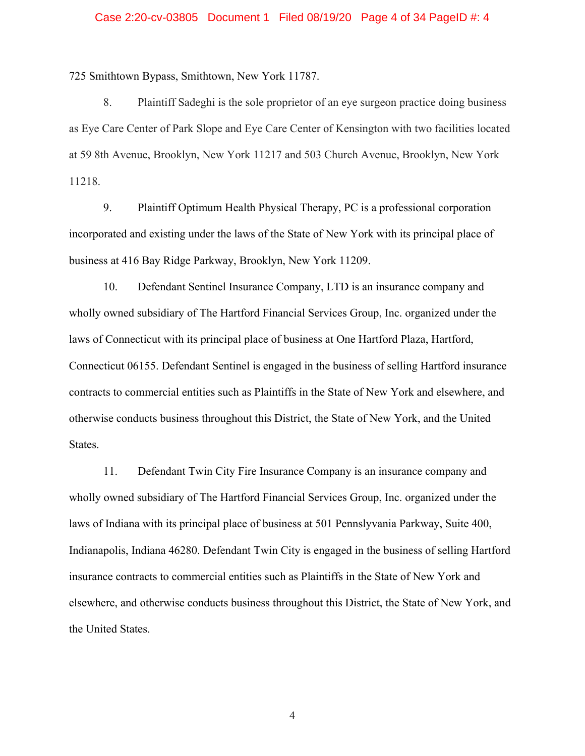### Case 2:20-cv-03805 Document 1 Filed 08/19/20 Page 4 of 34 PageID #: 4

725 Smithtown Bypass, Smithtown, New York 11787.

8. Plaintiff Sadeghi is the sole proprietor of an eye surgeon practice doing business as Eye Care Center of Park Slope and Eye Care Center of Kensington with two facilities located at 59 8th Avenue, Brooklyn, New York 11217 and 503 Church Avenue, Brooklyn, New York 11218.

9. Plaintiff Optimum Health Physical Therapy, PC is a professional corporation incorporated and existing under the laws of the State of New York with its principal place of business at 416 Bay Ridge Parkway, Brooklyn, New York 11209.

10. Defendant Sentinel Insurance Company, LTD is an insurance company and wholly owned subsidiary of The Hartford Financial Services Group, Inc. organized under the laws of Connecticut with its principal place of business at One Hartford Plaza, Hartford, Connecticut 06155. Defendant Sentinel is engaged in the business of selling Hartford insurance contracts to commercial entities such as Plaintiffs in the State of New York and elsewhere, and otherwise conducts business throughout this District, the State of New York, and the United States.

11. Defendant Twin City Fire Insurance Company is an insurance company and wholly owned subsidiary of The Hartford Financial Services Group, Inc. organized under the laws of Indiana with its principal place of business at 501 Pennslyvania Parkway, Suite 400, Indianapolis, Indiana 46280. Defendant Twin City is engaged in the business of selling Hartford insurance contracts to commercial entities such as Plaintiffs in the State of New York and elsewhere, and otherwise conducts business throughout this District, the State of New York, and the United States.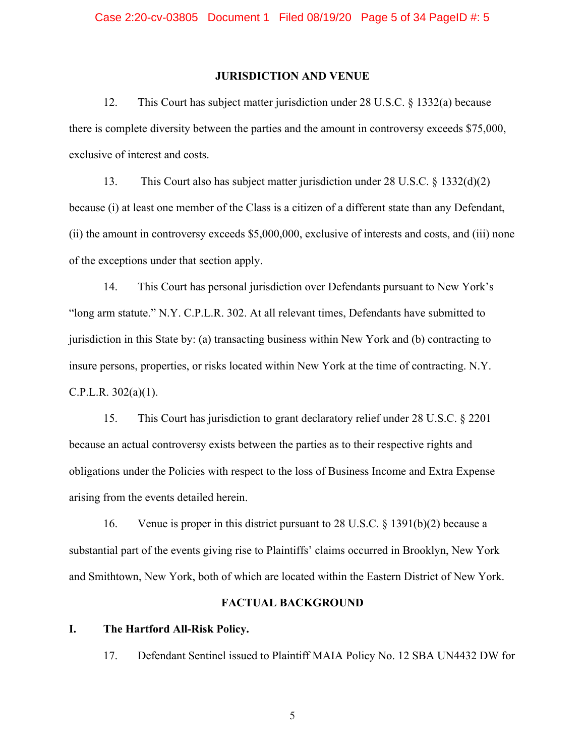## **JURISDICTION AND VENUE**

12. This Court has subject matter jurisdiction under 28 U.S.C. § 1332(a) because there is complete diversity between the parties and the amount in controversy exceeds \$75,000, exclusive of interest and costs.

13. This Court also has subject matter jurisdiction under 28 U.S.C. § 1332(d)(2) because (i) at least one member of the Class is a citizen of a different state than any Defendant, (ii) the amount in controversy exceeds \$5,000,000, exclusive of interests and costs, and (iii) none of the exceptions under that section apply.

14. This Court has personal jurisdiction over Defendants pursuant to New York's "long arm statute." N.Y. C.P.L.R. 302. At all relevant times, Defendants have submitted to jurisdiction in this State by: (a) transacting business within New York and (b) contracting to insure persons, properties, or risks located within New York at the time of contracting. N.Y. C.P.L.R.  $302(a)(1)$ .

15. This Court has jurisdiction to grant declaratory relief under 28 U.S.C. § 2201 because an actual controversy exists between the parties as to their respective rights and obligations under the Policies with respect to the loss of Business Income and Extra Expense arising from the events detailed herein.

16. Venue is proper in this district pursuant to 28 U.S.C. § 1391(b)(2) because a substantial part of the events giving rise to Plaintiffs' claims occurred in Brooklyn, New York and Smithtown, New York, both of which are located within the Eastern District of New York.

## **FACTUAL BACKGROUND**

## **I. The Hartford All-Risk Policy.**

17. Defendant Sentinel issued to Plaintiff MAIA Policy No. 12 SBA UN4432 DW for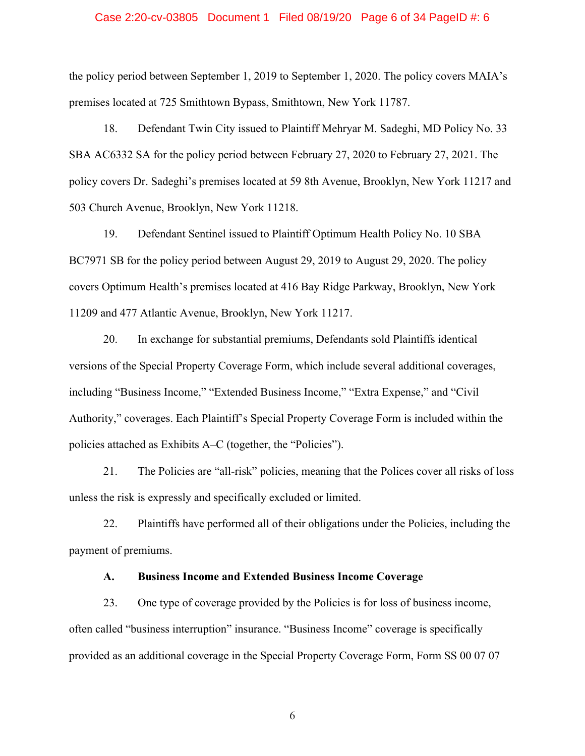### Case 2:20-cv-03805 Document 1 Filed 08/19/20 Page 6 of 34 PageID #: 6

the policy period between September 1, 2019 to September 1, 2020. The policy covers MAIA's premises located at 725 Smithtown Bypass, Smithtown, New York 11787.

18. Defendant Twin City issued to Plaintiff Mehryar M. Sadeghi, MD Policy No. 33 SBA AC6332 SA for the policy period between February 27, 2020 to February 27, 2021. The policy covers Dr. Sadeghi's premises located at 59 8th Avenue, Brooklyn, New York 11217 and 503 Church Avenue, Brooklyn, New York 11218.

19. Defendant Sentinel issued to Plaintiff Optimum Health Policy No. 10 SBA BC7971 SB for the policy period between August 29, 2019 to August 29, 2020. The policy covers Optimum Health's premises located at 416 Bay Ridge Parkway, Brooklyn, New York 11209 and 477 Atlantic Avenue, Brooklyn, New York 11217.

20. In exchange for substantial premiums, Defendants sold Plaintiffs identical versions of the Special Property Coverage Form, which include several additional coverages, including "Business Income," "Extended Business Income," "Extra Expense," and "Civil Authority," coverages. Each Plaintiff's Special Property Coverage Form is included within the policies attached as Exhibits A–C (together, the "Policies").

21. The Policies are "all-risk" policies, meaning that the Polices cover all risks of loss unless the risk is expressly and specifically excluded or limited.

22. Plaintiffs have performed all of their obligations under the Policies, including the payment of premiums.

# **A. Business Income and Extended Business Income Coverage**

23. One type of coverage provided by the Policies is for loss of business income, often called "business interruption" insurance. "Business Income" coverage is specifically provided as an additional coverage in the Special Property Coverage Form, Form SS 00 07 07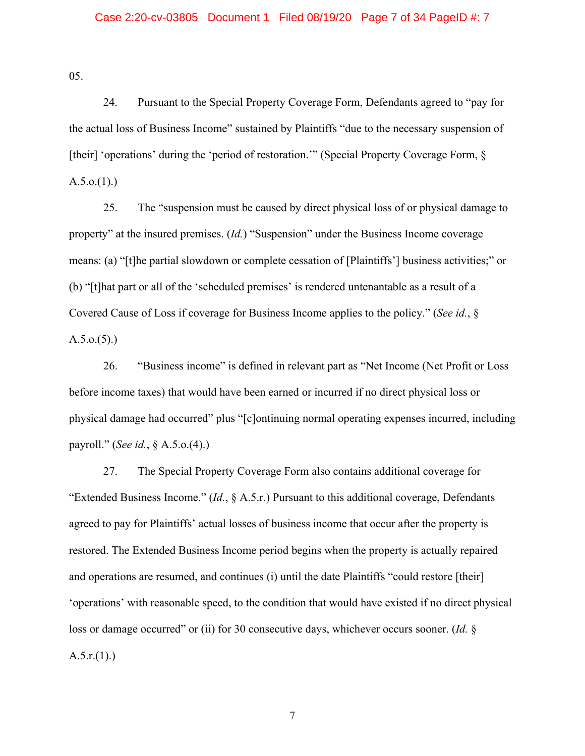## Case 2:20-cv-03805 Document 1 Filed 08/19/20 Page 7 of 34 PageID #: 7

05.

24. Pursuant to the Special Property Coverage Form, Defendants agreed to "pay for the actual loss of Business Income" sustained by Plaintiffs "due to the necessary suspension of [their] 'operations' during the 'period of restoration."" (Special Property Coverage Form, §  $A.5.0(1).$ 

25. The "suspension must be caused by direct physical loss of or physical damage to property" at the insured premises. (*Id.*) "Suspension" under the Business Income coverage means: (a) "[t]he partial slowdown or complete cessation of [Plaintiffs'] business activities;" or (b) "[t]hat part or all of the 'scheduled premises' is rendered untenantable as a result of a Covered Cause of Loss if coverage for Business Income applies to the policy." (*See id.*, §  $A.5.0.(5).$ 

26. "Business income" is defined in relevant part as "Net Income (Net Profit or Loss before income taxes) that would have been earned or incurred if no direct physical loss or physical damage had occurred" plus "[c]ontinuing normal operating expenses incurred, including payroll." (*See id.*, § A.5.o.(4).)

27. The Special Property Coverage Form also contains additional coverage for "Extended Business Income." (*Id.*, § A.5.r.) Pursuant to this additional coverage, Defendants agreed to pay for Plaintiffs' actual losses of business income that occur after the property is restored. The Extended Business Income period begins when the property is actually repaired and operations are resumed, and continues (i) until the date Plaintiffs "could restore [their] 'operations' with reasonable speed, to the condition that would have existed if no direct physical loss or damage occurred" or (ii) for 30 consecutive days, whichever occurs sooner. (*Id.* §  $A.5.r.(1).$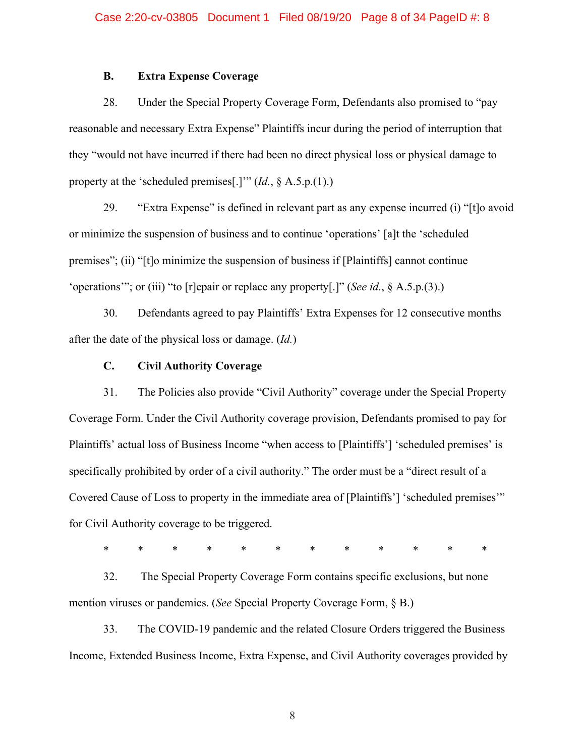# **B. Extra Expense Coverage**

28. Under the Special Property Coverage Form, Defendants also promised to "pay reasonable and necessary Extra Expense" Plaintiffs incur during the period of interruption that they "would not have incurred if there had been no direct physical loss or physical damage to property at the 'scheduled premises[.]'" (*Id.*, § A.5.p.(1).)

29. "Extra Expense" is defined in relevant part as any expense incurred (i) "[t]o avoid or minimize the suspension of business and to continue 'operations' [a]t the 'scheduled premises"; (ii) "[t]o minimize the suspension of business if [Plaintiffs] cannot continue 'operations'"; or (iii) "to [r]epair or replace any property[.]" (*See id.*, § A.5.p.(3).)

30. Defendants agreed to pay Plaintiffs' Extra Expenses for 12 consecutive months after the date of the physical loss or damage. (*Id.*)

## **C. Civil Authority Coverage**

31. The Policies also provide "Civil Authority" coverage under the Special Property Coverage Form. Under the Civil Authority coverage provision, Defendants promised to pay for Plaintiffs' actual loss of Business Income "when access to [Plaintiffs'] 'scheduled premises' is specifically prohibited by order of a civil authority." The order must be a "direct result of a Covered Cause of Loss to property in the immediate area of [Plaintiffs'] 'scheduled premises'" for Civil Authority coverage to be triggered.

\* \* \* \* \* \* \* \* \* \* \* \*

32. The Special Property Coverage Form contains specific exclusions, but none mention viruses or pandemics. (*See* Special Property Coverage Form, § B.)

33. The COVID-19 pandemic and the related Closure Orders triggered the Business Income, Extended Business Income, Extra Expense, and Civil Authority coverages provided by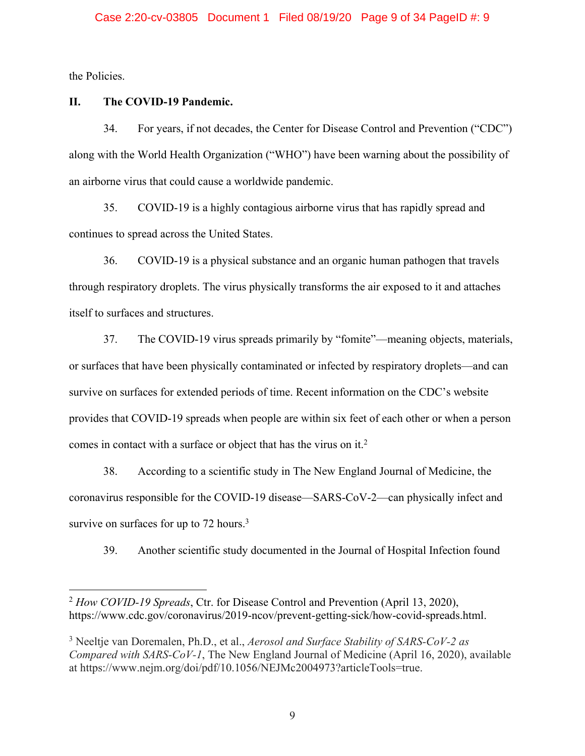the Policies.

# **II. The COVID-19 Pandemic.**

34. For years, if not decades, the Center for Disease Control and Prevention ("CDC") along with the World Health Organization ("WHO") have been warning about the possibility of an airborne virus that could cause a worldwide pandemic.

35. COVID-19 is a highly contagious airborne virus that has rapidly spread and continues to spread across the United States.

36. COVID-19 is a physical substance and an organic human pathogen that travels through respiratory droplets. The virus physically transforms the air exposed to it and attaches itself to surfaces and structures.

37. The COVID-19 virus spreads primarily by "fomite"—meaning objects, materials, or surfaces that have been physically contaminated or infected by respiratory droplets—and can survive on surfaces for extended periods of time. Recent information on the CDC's website provides that COVID-19 spreads when people are within six feet of each other or when a person comes in contact with a surface or object that has the virus on it.<sup>2</sup>

38. According to a scientific study in The New England Journal of Medicine, the coronavirus responsible for the COVID-19 disease—SARS-CoV-2—can physically infect and survive on surfaces for up to  $72$  hours.<sup>3</sup>

39. Another scientific study documented in the Journal of Hospital Infection found

<sup>2</sup> *How COVID-19 Spreads*, Ctr. for Disease Control and Prevention (April 13, 2020), https://www.cdc.gov/coronavirus/2019-ncov/prevent-getting-sick/how-covid-spreads.html.

<sup>3</sup> Neeltje van Doremalen, Ph.D., et al., *Aerosol and Surface Stability of SARS-CoV-2 as Compared with SARS-CoV-1*, The New England Journal of Medicine (April 16, 2020), available at https://www.nejm.org/doi/pdf/10.1056/NEJMc2004973?articleTools=true.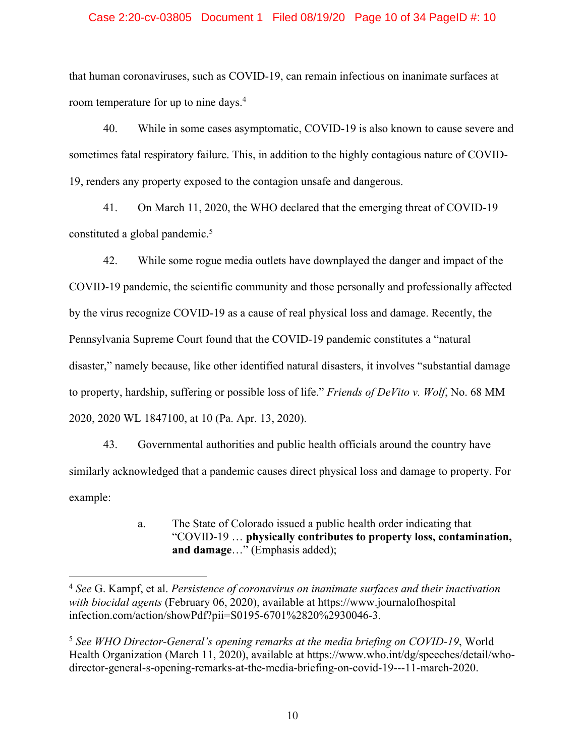## Case 2:20-cv-03805 Document 1 Filed 08/19/20 Page 10 of 34 PageID #: 10

that human coronaviruses, such as COVID-19, can remain infectious on inanimate surfaces at room temperature for up to nine days.<sup>4</sup>

40. While in some cases asymptomatic, COVID-19 is also known to cause severe and sometimes fatal respiratory failure. This, in addition to the highly contagious nature of COVID-19, renders any property exposed to the contagion unsafe and dangerous.

41. On March 11, 2020, the WHO declared that the emerging threat of COVID-19 constituted a global pandemic.<sup>5</sup>

42. While some rogue media outlets have downplayed the danger and impact of the COVID-19 pandemic, the scientific community and those personally and professionally affected by the virus recognize COVID-19 as a cause of real physical loss and damage. Recently, the Pennsylvania Supreme Court found that the COVID-19 pandemic constitutes a "natural disaster," namely because, like other identified natural disasters, it involves "substantial damage to property, hardship, suffering or possible loss of life." *Friends of DeVito v. Wolf*, No. 68 MM 2020, 2020 WL 1847100, at 10 (Pa. Apr. 13, 2020).

43. Governmental authorities and public health officials around the country have similarly acknowledged that a pandemic causes direct physical loss and damage to property. For example:

> a. The State of Colorado issued a public health order indicating that "COVID-19 … **physically contributes to property loss, contamination, and damage**…" (Emphasis added);

<sup>4</sup> *See* G. Kampf, et al. *Persistence of coronavirus on inanimate surfaces and their inactivation with biocidal agents* (February 06, 2020), available at https://www.journalofhospital infection.com/action/showPdf?pii=S0195-6701%2820%2930046-3.

<sup>5</sup> *See WHO Director-General's opening remarks at the media briefing on COVID-19*, World Health Organization (March 11, 2020), available at https://www.who.int/dg/speeches/detail/whodirector-general-s-opening-remarks-at-the-media-briefing-on-covid-19---11-march-2020.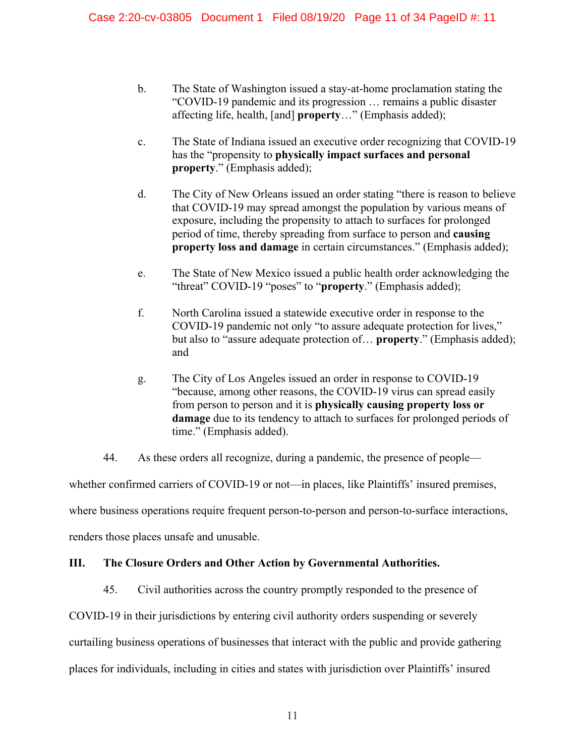- b. The State of Washington issued a stay-at-home proclamation stating the "COVID-19 pandemic and its progression … remains a public disaster affecting life, health, [and] **property**…" (Emphasis added);
- c. The State of Indiana issued an executive order recognizing that COVID-19 has the "propensity to **physically impact surfaces and personal property**." (Emphasis added);
- d. The City of New Orleans issued an order stating "there is reason to believe that COVID-19 may spread amongst the population by various means of exposure, including the propensity to attach to surfaces for prolonged period of time, thereby spreading from surface to person and **causing property loss and damage** in certain circumstances." (Emphasis added);
- e. The State of New Mexico issued a public health order acknowledging the "threat" COVID-19 "poses" to "**property**." (Emphasis added);
- f. North Carolina issued a statewide executive order in response to the COVID-19 pandemic not only "to assure adequate protection for lives," but also to "assure adequate protection of… **property**." (Emphasis added); and
- g. The City of Los Angeles issued an order in response to COVID-19 "because, among other reasons, the COVID-19 virus can spread easily from person to person and it is **physically causing property loss or**  damage due to its tendency to attach to surfaces for prolonged periods of time." (Emphasis added).
- 44. As these orders all recognize, during a pandemic, the presence of people—

whether confirmed carriers of COVID-19 or not—in places, like Plaintiffs' insured premises,

where business operations require frequent person-to-person and person-to-surface interactions,

renders those places unsafe and unusable.

# **III. The Closure Orders and Other Action by Governmental Authorities.**

45. Civil authorities across the country promptly responded to the presence of

COVID-19 in their jurisdictions by entering civil authority orders suspending or severely

curtailing business operations of businesses that interact with the public and provide gathering

places for individuals, including in cities and states with jurisdiction over Plaintiffs' insured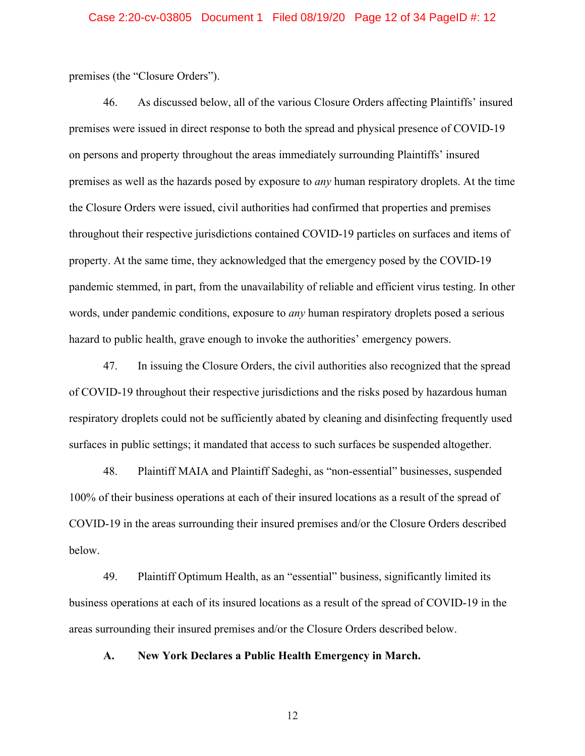premises (the "Closure Orders").

46. As discussed below, all of the various Closure Orders affecting Plaintiffs' insured premises were issued in direct response to both the spread and physical presence of COVID-19 on persons and property throughout the areas immediately surrounding Plaintiffs' insured premises as well as the hazards posed by exposure to *any* human respiratory droplets. At the time the Closure Orders were issued, civil authorities had confirmed that properties and premises throughout their respective jurisdictions contained COVID-19 particles on surfaces and items of property. At the same time, they acknowledged that the emergency posed by the COVID-19 pandemic stemmed, in part, from the unavailability of reliable and efficient virus testing. In other words, under pandemic conditions, exposure to *any* human respiratory droplets posed a serious hazard to public health, grave enough to invoke the authorities' emergency powers.

47. In issuing the Closure Orders, the civil authorities also recognized that the spread of COVID-19 throughout their respective jurisdictions and the risks posed by hazardous human respiratory droplets could not be sufficiently abated by cleaning and disinfecting frequently used surfaces in public settings; it mandated that access to such surfaces be suspended altogether.

48. Plaintiff MAIA and Plaintiff Sadeghi, as "non-essential" businesses, suspended 100% of their business operations at each of their insured locations as a result of the spread of COVID-19 in the areas surrounding their insured premises and/or the Closure Orders described below.

49. Plaintiff Optimum Health, as an "essential" business, significantly limited its business operations at each of its insured locations as a result of the spread of COVID-19 in the areas surrounding their insured premises and/or the Closure Orders described below.

**A. New York Declares a Public Health Emergency in March.**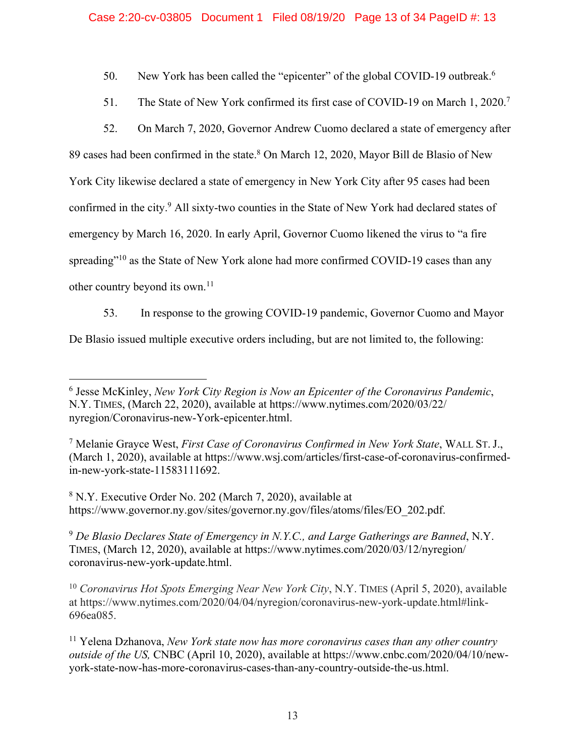50. New York has been called the "epicenter" of the global COVID-19 outbreak.<sup>6</sup>

- 51. The State of New York confirmed its first case of COVID-19 on March 1, 2020.<sup>7</sup>
- 52. On March 7, 2020, Governor Andrew Cuomo declared a state of emergency after

89 cases had been confirmed in the state.<sup>8</sup> On March 12, 2020, Mayor Bill de Blasio of New York City likewise declared a state of emergency in New York City after 95 cases had been confirmed in the city.9 All sixty-two counties in the State of New York had declared states of emergency by March 16, 2020. In early April, Governor Cuomo likened the virus to "a fire spreading"<sup>10</sup> as the State of New York alone had more confirmed COVID-19 cases than any other country beyond its own.<sup>11</sup>

53. In response to the growing COVID-19 pandemic, Governor Cuomo and Mayor

De Blasio issued multiple executive orders including, but are not limited to, the following:

<sup>9</sup> *De Blasio Declares State of Emergency in N.Y.C., and Large Gatherings are Banned*, N.Y. TIMES, (March 12, 2020), available at https://www.nytimes.com/2020/03/12/nyregion/ coronavirus-new-york-update.html.

<sup>10</sup> *Coronavirus Hot Spots Emerging Near New York City*, N.Y. TIMES (April 5, 2020), available at https://www.nytimes.com/2020/04/04/nyregion/coronavirus-new-york-update.html#link-696ea085.

<sup>6</sup> Jesse McKinley, *New York City Region is Now an Epicenter of the Coronavirus Pandemic*, N.Y. TIMES, (March 22, 2020), available at https://www.nytimes.com/2020/03/22/ nyregion/Coronavirus-new-York-epicenter.html.

<sup>7</sup> Melanie Grayce West, *First Case of Coronavirus Confirmed in New York State*, WALL ST. J., (March 1, 2020), available at https://www.wsj.com/articles/first-case-of-coronavirus-confirmedin-new-york-state-11583111692.

<sup>8</sup> N.Y. Executive Order No. 202 (March 7, 2020), available at https://www.governor.ny.gov/sites/governor.ny.gov/files/atoms/files/EO\_202.pdf.

<sup>11</sup> Yelena Dzhanova, *New York state now has more coronavirus cases than any other country outside of the US,* CNBC (April 10, 2020), available at https://www.cnbc.com/2020/04/10/newyork-state-now-has-more-coronavirus-cases-than-any-country-outside-the-us.html.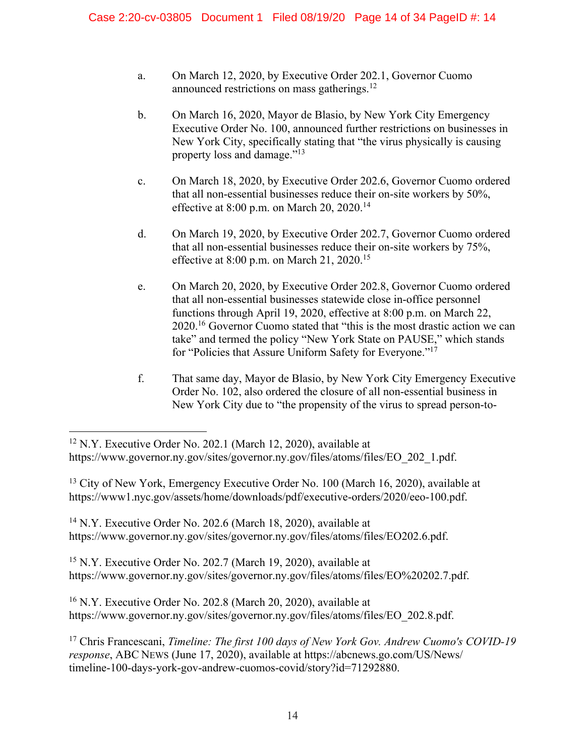- a. On March 12, 2020, by Executive Order 202.1, Governor Cuomo announced restrictions on mass gatherings.12
- b. On March 16, 2020, Mayor de Blasio, by New York City Emergency Executive Order No. 100, announced further restrictions on businesses in New York City, specifically stating that "the virus physically is causing property loss and damage."13
- c. On March 18, 2020, by Executive Order 202.6, Governor Cuomo ordered that all non-essential businesses reduce their on-site workers by 50%, effective at 8:00 p.m. on March 20, 2020.<sup>14</sup>
- d. On March 19, 2020, by Executive Order 202.7, Governor Cuomo ordered that all non-essential businesses reduce their on-site workers by 75%, effective at 8:00 p.m. on March 21, 2020.<sup>15</sup>
- e. On March 20, 2020, by Executive Order 202.8, Governor Cuomo ordered that all non-essential businesses statewide close in-office personnel functions through April 19, 2020, effective at 8:00 p.m. on March 22, 2020.16 Governor Cuomo stated that "this is the most drastic action we can take" and termed the policy "New York State on PAUSE," which stands for "Policies that Assure Uniform Safety for Everyone."17
- f. That same day, Mayor de Blasio, by New York City Emergency Executive Order No. 102, also ordered the closure of all non-essential business in New York City due to "the propensity of the virus to spread person-to-

<sup>13</sup> City of New York, Emergency Executive Order No. 100 (March 16, 2020), available at https://www1.nyc.gov/assets/home/downloads/pdf/executive-orders/2020/eeo-100.pdf.

<sup>14</sup> N.Y. Executive Order No. 202.6 (March 18, 2020), available at https://www.governor.ny.gov/sites/governor.ny.gov/files/atoms/files/EO202.6.pdf.

15 N.Y. Executive Order No. 202.7 (March 19, 2020), available at https://www.governor.ny.gov/sites/governor.ny.gov/files/atoms/files/EO%20202.7.pdf.

16 N.Y. Executive Order No. 202.8 (March 20, 2020), available at https://www.governor.ny.gov/sites/governor.ny.gov/files/atoms/files/EO\_202.8.pdf.

<sup>&</sup>lt;sup>12</sup> N.Y. Executive Order No. 202.1 (March 12, 2020), available at

https://www.governor.ny.gov/sites/governor.ny.gov/files/atoms/files/EO\_202\_1.pdf.

<sup>17</sup> Chris Francescani, *Timeline: The first 100 days of New York Gov. Andrew Cuomo's COVID-19 response*, ABC NEWS (June 17, 2020), available at https://abcnews.go.com/US/News/ timeline-100-days-york-gov-andrew-cuomos-covid/story?id=71292880.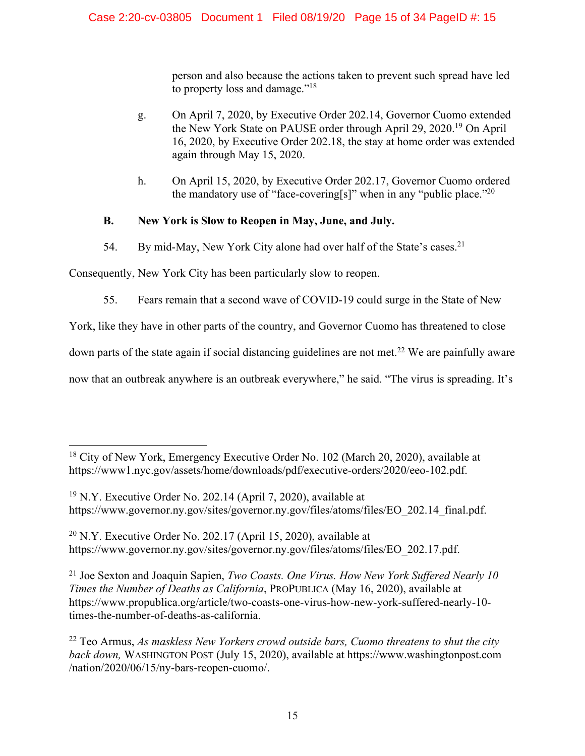person and also because the actions taken to prevent such spread have led to property loss and damage."18

- g. On April 7, 2020, by Executive Order 202.14, Governor Cuomo extended the New York State on PAUSE order through April 29, 2020.19 On April 16, 2020, by Executive Order 202.18, the stay at home order was extended again through May 15, 2020.
- h. On April 15, 2020, by Executive Order 202.17, Governor Cuomo ordered the mandatory use of "face-covering[s]" when in any "public place."<sup>20</sup>

# **B. New York is Slow to Reopen in May, June, and July.**

54. By mid-May, New York City alone had over half of the State's cases.<sup>21</sup>

Consequently, New York City has been particularly slow to reopen.

55. Fears remain that a second wave of COVID-19 could surge in the State of New

York, like they have in other parts of the country, and Governor Cuomo has threatened to close

down parts of the state again if social distancing guidelines are not met.<sup>22</sup> We are painfully aware

now that an outbreak anywhere is an outbreak everywhere," he said. "The virus is spreading. It's

 $20$  N.Y. Executive Order No. 202.17 (April 15, 2020), available at https://www.governor.ny.gov/sites/governor.ny.gov/files/atoms/files/EO\_202.17.pdf.

21 Joe Sexton and Joaquin Sapien, *Two Coasts. One Virus. How New York Suffered Nearly 10 Times the Number of Deaths as California*, PROPUBLICA (May 16, 2020), available at https://www.propublica.org/article/two-coasts-one-virus-how-new-york-suffered-nearly-10 times-the-number-of-deaths-as-california.

<sup>&</sup>lt;sup>18</sup> City of New York, Emergency Executive Order No. 102 (March 20, 2020), available at https://www1.nyc.gov/assets/home/downloads/pdf/executive-orders/2020/eeo-102.pdf.

<sup>19</sup> N.Y. Executive Order No. 202.14 (April 7, 2020), available at https://www.governor.ny.gov/sites/governor.ny.gov/files/atoms/files/EO\_202.14\_final.pdf.

<sup>22</sup> Teo Armus, *As maskless New Yorkers crowd outside bars, Cuomo threatens to shut the city back down,* WASHINGTON POST (July 15, 2020), available at https://www.washingtonpost.com /nation/2020/06/15/ny-bars-reopen-cuomo/.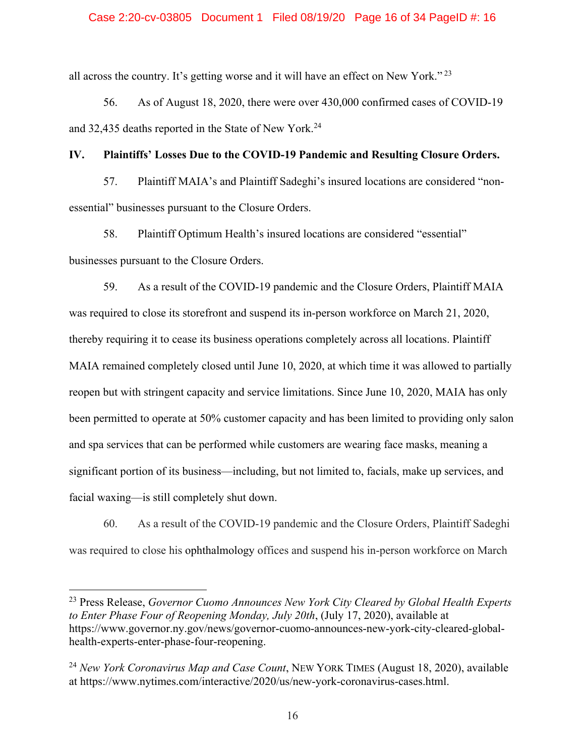## Case 2:20-cv-03805 Document 1 Filed 08/19/20 Page 16 of 34 PageID #: 16

all across the country. It's getting worse and it will have an effect on New York." <sup>23</sup>

56. As of August 18, 2020, there were over 430,000 confirmed cases of COVID-19 and 32,435 deaths reported in the State of New York.24

# **IV. Plaintiffs' Losses Due to the COVID-19 Pandemic and Resulting Closure Orders.**

57. Plaintiff MAIA's and Plaintiff Sadeghi's insured locations are considered "nonessential" businesses pursuant to the Closure Orders.

58. Plaintiff Optimum Health's insured locations are considered "essential" businesses pursuant to the Closure Orders.

59. As a result of the COVID-19 pandemic and the Closure Orders, Plaintiff MAIA was required to close its storefront and suspend its in-person workforce on March 21, 2020, thereby requiring it to cease its business operations completely across all locations. Plaintiff MAIA remained completely closed until June 10, 2020, at which time it was allowed to partially reopen but with stringent capacity and service limitations. Since June 10, 2020, MAIA has only been permitted to operate at 50% customer capacity and has been limited to providing only salon and spa services that can be performed while customers are wearing face masks, meaning a significant portion of its business—including, but not limited to, facials, make up services, and facial waxing—is still completely shut down.

60. As a result of the COVID-19 pandemic and the Closure Orders, Plaintiff Sadeghi was required to close his ophthalmology offices and suspend his in-person workforce on March

23 Press Release, *Governor Cuomo Announces New York City Cleared by Global Health Experts to Enter Phase Four of Reopening Monday, July 20th*, (July 17, 2020), available at https://www.governor.ny.gov/news/governor-cuomo-announces-new-york-city-cleared-globalhealth-experts-enter-phase-four-reopening.

<sup>24</sup> *New York Coronavirus Map and Case Count*, NEW YORK TIMES (August 18, 2020), available at https://www.nytimes.com/interactive/2020/us/new-york-coronavirus-cases.html.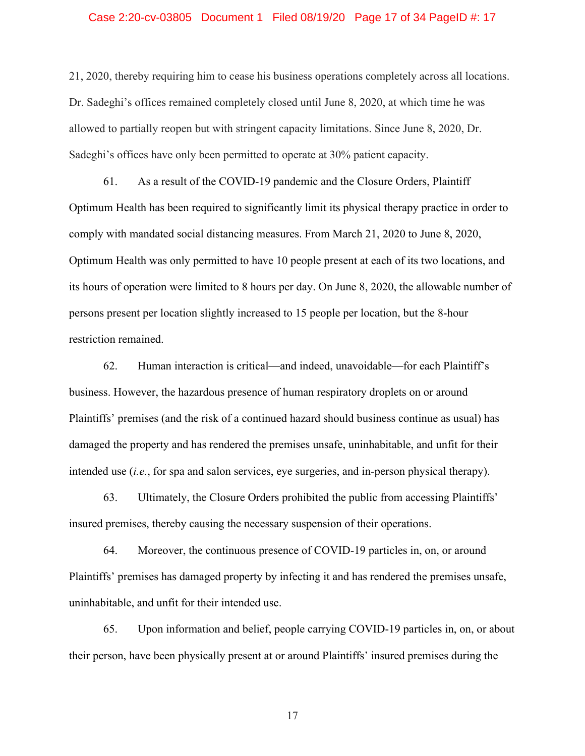### Case 2:20-cv-03805 Document 1 Filed 08/19/20 Page 17 of 34 PageID #: 17

21, 2020, thereby requiring him to cease his business operations completely across all locations. Dr. Sadeghi's offices remained completely closed until June 8, 2020, at which time he was allowed to partially reopen but with stringent capacity limitations. Since June 8, 2020, Dr. Sadeghi's offices have only been permitted to operate at 30% patient capacity.

61. As a result of the COVID-19 pandemic and the Closure Orders, Plaintiff Optimum Health has been required to significantly limit its physical therapy practice in order to comply with mandated social distancing measures. From March 21, 2020 to June 8, 2020, Optimum Health was only permitted to have 10 people present at each of its two locations, and its hours of operation were limited to 8 hours per day. On June 8, 2020, the allowable number of persons present per location slightly increased to 15 people per location, but the 8-hour restriction remained.

62. Human interaction is critical—and indeed, unavoidable—for each Plaintiff's business. However, the hazardous presence of human respiratory droplets on or around Plaintiffs' premises (and the risk of a continued hazard should business continue as usual) has damaged the property and has rendered the premises unsafe, uninhabitable, and unfit for their intended use (*i.e.*, for spa and salon services, eye surgeries, and in-person physical therapy).

63. Ultimately, the Closure Orders prohibited the public from accessing Plaintiffs' insured premises, thereby causing the necessary suspension of their operations.

64. Moreover, the continuous presence of COVID-19 particles in, on, or around Plaintiffs' premises has damaged property by infecting it and has rendered the premises unsafe, uninhabitable, and unfit for their intended use.

65. Upon information and belief, people carrying COVID-19 particles in, on, or about their person, have been physically present at or around Plaintiffs' insured premises during the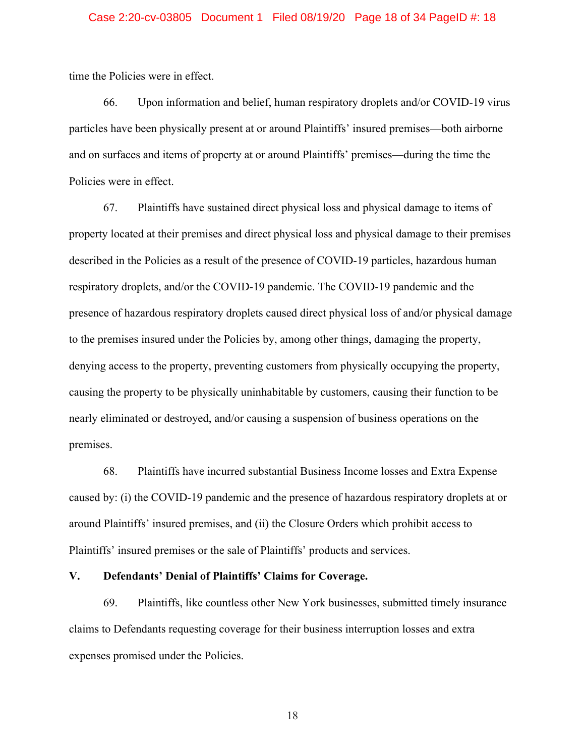### Case 2:20-cv-03805 Document 1 Filed 08/19/20 Page 18 of 34 PageID #: 18

time the Policies were in effect.

66. Upon information and belief, human respiratory droplets and/or COVID-19 virus particles have been physically present at or around Plaintiffs' insured premises—both airborne and on surfaces and items of property at or around Plaintiffs' premises—during the time the Policies were in effect.

67. Plaintiffs have sustained direct physical loss and physical damage to items of property located at their premises and direct physical loss and physical damage to their premises described in the Policies as a result of the presence of COVID-19 particles, hazardous human respiratory droplets, and/or the COVID-19 pandemic. The COVID-19 pandemic and the presence of hazardous respiratory droplets caused direct physical loss of and/or physical damage to the premises insured under the Policies by, among other things, damaging the property, denying access to the property, preventing customers from physically occupying the property, causing the property to be physically uninhabitable by customers, causing their function to be nearly eliminated or destroyed, and/or causing a suspension of business operations on the premises.

68. Plaintiffs have incurred substantial Business Income losses and Extra Expense caused by: (i) the COVID-19 pandemic and the presence of hazardous respiratory droplets at or around Plaintiffs' insured premises, and (ii) the Closure Orders which prohibit access to Plaintiffs' insured premises or the sale of Plaintiffs' products and services.

# **V. Defendants' Denial of Plaintiffs' Claims for Coverage.**

69. Plaintiffs, like countless other New York businesses, submitted timely insurance claims to Defendants requesting coverage for their business interruption losses and extra expenses promised under the Policies.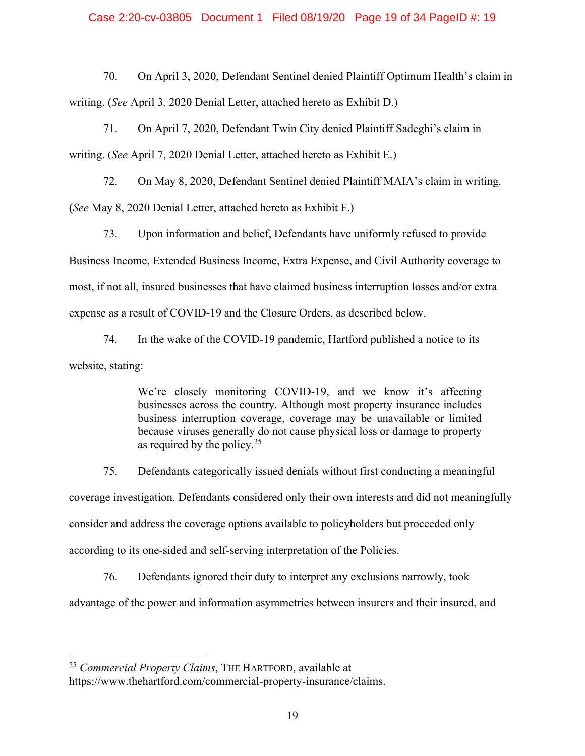## Case 2:20-cv-03805 Document 1 Filed 08/19/20 Page 19 of 34 PageID #: 19

70. On April 3, 2020, Defendant Sentinel denied Plaintiff Optimum Health's claim in writing. (*See* April 3, 2020 Denial Letter, attached hereto as Exhibit D.)

71. On April 7, 2020, Defendant Twin City denied Plaintiff Sadeghi's claim in writing. (*See* April 7, 2020 Denial Letter, attached hereto as Exhibit E.)

72. On May 8, 2020, Defendant Sentinel denied Plaintiff MAIA's claim in writing. (*See* May 8, 2020 Denial Letter, attached hereto as Exhibit F.)

73. Upon information and belief, Defendants have uniformly refused to provide Business Income, Extended Business Income, Extra Expense, and Civil Authority coverage to most, if not all, insured businesses that have claimed business interruption losses and/or extra expense as a result of COVID-19 and the Closure Orders, as described below.

74. In the wake of the COVID-19 pandemic, Hartford published a notice to its website, stating:

> We're closely monitoring COVID-19, and we know it's affecting businesses across the country. Although most property insurance includes business interruption coverage, coverage may be unavailable or limited because viruses generally do not cause physical loss or damage to property as required by the policy.25

75. Defendants categorically issued denials without first conducting a meaningful coverage investigation. Defendants considered only their own interests and did not meaningfully consider and address the coverage options available to policyholders but proceeded only according to its one-sided and self-serving interpretation of the Policies.

76. Defendants ignored their duty to interpret any exclusions narrowly, took advantage of the power and information asymmetries between insurers and their insured, and

<sup>25</sup> *Commercial Property Claims*, THE HARTFORD, available at

https://www.thehartford.com/commercial-property-insurance/claims.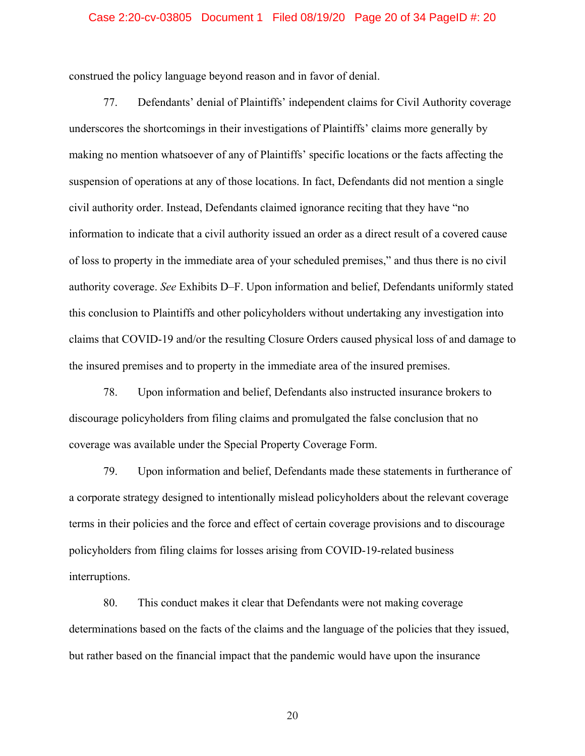### Case 2:20-cv-03805 Document 1 Filed 08/19/20 Page 20 of 34 PageID #: 20

construed the policy language beyond reason and in favor of denial.

77. Defendants' denial of Plaintiffs' independent claims for Civil Authority coverage underscores the shortcomings in their investigations of Plaintiffs' claims more generally by making no mention whatsoever of any of Plaintiffs' specific locations or the facts affecting the suspension of operations at any of those locations. In fact, Defendants did not mention a single civil authority order. Instead, Defendants claimed ignorance reciting that they have "no information to indicate that a civil authority issued an order as a direct result of a covered cause of loss to property in the immediate area of your scheduled premises," and thus there is no civil authority coverage. *See* Exhibits D–F. Upon information and belief, Defendants uniformly stated this conclusion to Plaintiffs and other policyholders without undertaking any investigation into claims that COVID-19 and/or the resulting Closure Orders caused physical loss of and damage to the insured premises and to property in the immediate area of the insured premises.

78. Upon information and belief, Defendants also instructed insurance brokers to discourage policyholders from filing claims and promulgated the false conclusion that no coverage was available under the Special Property Coverage Form.

79. Upon information and belief, Defendants made these statements in furtherance of a corporate strategy designed to intentionally mislead policyholders about the relevant coverage terms in their policies and the force and effect of certain coverage provisions and to discourage policyholders from filing claims for losses arising from COVID-19-related business interruptions.

80. This conduct makes it clear that Defendants were not making coverage determinations based on the facts of the claims and the language of the policies that they issued, but rather based on the financial impact that the pandemic would have upon the insurance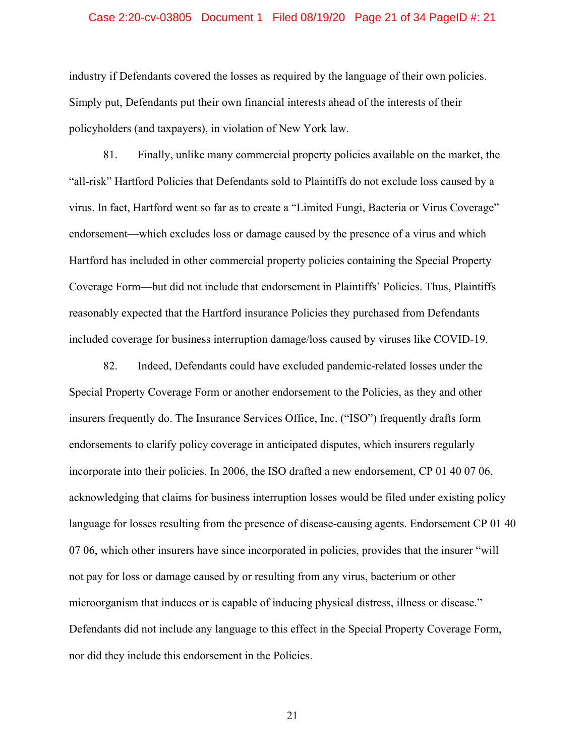### Case 2:20-cv-03805 Document 1 Filed 08/19/20 Page 21 of 34 PageID #: 21

industry if Defendants covered the losses as required by the language of their own policies. Simply put, Defendants put their own financial interests ahead of the interests of their policyholders (and taxpayers), in violation of New York law.

81. Finally, unlike many commercial property policies available on the market, the "all-risk" Hartford Policies that Defendants sold to Plaintiffs do not exclude loss caused by a virus. In fact, Hartford went so far as to create a "Limited Fungi, Bacteria or Virus Coverage" endorsement—which excludes loss or damage caused by the presence of a virus and which Hartford has included in other commercial property policies containing the Special Property Coverage Form—but did not include that endorsement in Plaintiffs' Policies. Thus, Plaintiffs reasonably expected that the Hartford insurance Policies they purchased from Defendants included coverage for business interruption damage/loss caused by viruses like COVID-19.

82. Indeed, Defendants could have excluded pandemic-related losses under the Special Property Coverage Form or another endorsement to the Policies, as they and other insurers frequently do. The Insurance Services Office, Inc. ("ISO") frequently drafts form endorsements to clarify policy coverage in anticipated disputes, which insurers regularly incorporate into their policies. In 2006, the ISO drafted a new endorsement, CP 01 40 07 06, acknowledging that claims for business interruption losses would be filed under existing policy language for losses resulting from the presence of disease-causing agents. Endorsement CP 01 40 07 06, which other insurers have since incorporated in policies, provides that the insurer "will not pay for loss or damage caused by or resulting from any virus, bacterium or other microorganism that induces or is capable of inducing physical distress, illness or disease." Defendants did not include any language to this effect in the Special Property Coverage Form, nor did they include this endorsement in the Policies.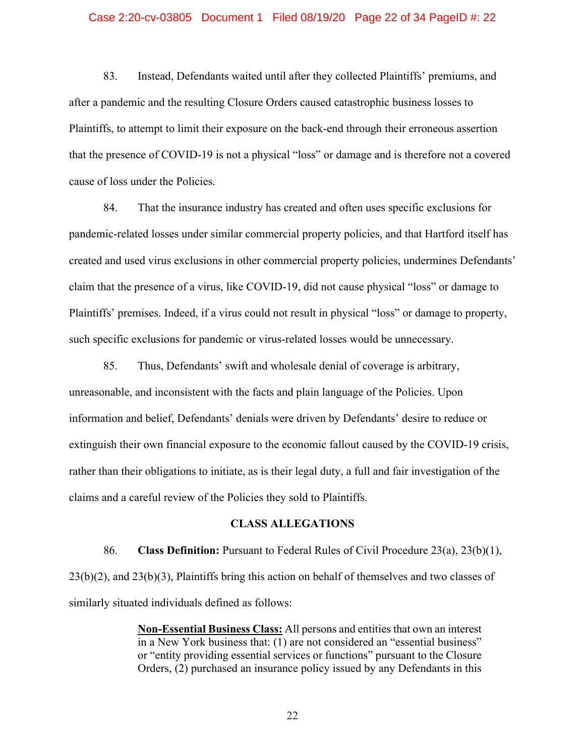### Case 2:20-cv-03805 Document 1 Filed 08/19/20 Page 22 of 34 PageID #: 22

83. Instead, Defendants waited until after they collected Plaintiffs' premiums, and after a pandemic and the resulting Closure Orders caused catastrophic business losses to Plaintiffs, to attempt to limit their exposure on the back-end through their erroneous assertion that the presence of COVID-19 is not a physical "loss" or damage and is therefore not a covered cause of loss under the Policies.

84. That the insurance industry has created and often uses specific exclusions for pandemic-related losses under similar commercial property policies, and that Hartford itself has created and used virus exclusions in other commercial property policies, undermines Defendants' claim that the presence of a virus, like COVID-19, did not cause physical "loss" or damage to Plaintiffs' premises. Indeed, if a virus could not result in physical "loss" or damage to property, such specific exclusions for pandemic or virus-related losses would be unnecessary.

85. Thus, Defendants' swift and wholesale denial of coverage is arbitrary, unreasonable, and inconsistent with the facts and plain language of the Policies. Upon information and belief, Defendants' denials were driven by Defendants' desire to reduce or extinguish their own financial exposure to the economic fallout caused by the COVID-19 crisis, rather than their obligations to initiate, as is their legal duty, a full and fair investigation of the claims and a careful review of the Policies they sold to Plaintiffs.

# **CLASS ALLEGATIONS**

86. **Class Definition:** Pursuant to Federal Rules of Civil Procedure 23(a), 23(b)(1), 23(b)(2), and 23(b)(3), Plaintiffs bring this action on behalf of themselves and two classes of similarly situated individuals defined as follows:

> **Non-Essential Business Class:** All persons and entities that own an interest in a New York business that: (1) are not considered an "essential business" or "entity providing essential services or functions" pursuant to the Closure Orders, (2) purchased an insurance policy issued by any Defendants in this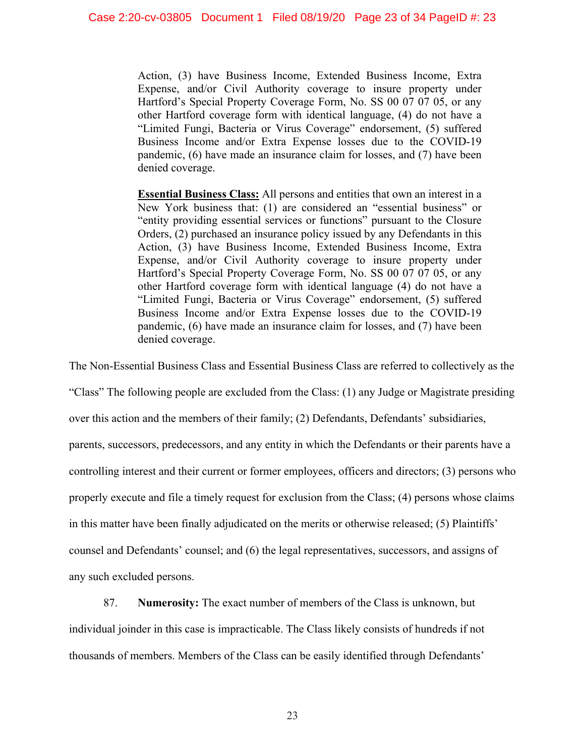Action, (3) have Business Income, Extended Business Income, Extra Expense, and/or Civil Authority coverage to insure property under Hartford's Special Property Coverage Form, No. SS 00 07 07 05, or any other Hartford coverage form with identical language, (4) do not have a "Limited Fungi, Bacteria or Virus Coverage" endorsement, (5) suffered Business Income and/or Extra Expense losses due to the COVID-19 pandemic, (6) have made an insurance claim for losses, and (7) have been denied coverage.

**Essential Business Class:** All persons and entities that own an interest in a New York business that: (1) are considered an "essential business" or "entity providing essential services or functions" pursuant to the Closure Orders, (2) purchased an insurance policy issued by any Defendants in this Action, (3) have Business Income, Extended Business Income, Extra Expense, and/or Civil Authority coverage to insure property under Hartford's Special Property Coverage Form, No. SS 00 07 07 05, or any other Hartford coverage form with identical language (4) do not have a "Limited Fungi, Bacteria or Virus Coverage" endorsement, (5) suffered Business Income and/or Extra Expense losses due to the COVID-19 pandemic, (6) have made an insurance claim for losses, and (7) have been denied coverage.

The Non-Essential Business Class and Essential Business Class are referred to collectively as the

"Class" The following people are excluded from the Class: (1) any Judge or Magistrate presiding

over this action and the members of their family; (2) Defendants, Defendants' subsidiaries,

parents, successors, predecessors, and any entity in which the Defendants or their parents have a

controlling interest and their current or former employees, officers and directors; (3) persons who

properly execute and file a timely request for exclusion from the Class; (4) persons whose claims

in this matter have been finally adjudicated on the merits or otherwise released; (5) Plaintiffs'

counsel and Defendants' counsel; and (6) the legal representatives, successors, and assigns of any such excluded persons.

87. **Numerosity:** The exact number of members of the Class is unknown, but

individual joinder in this case is impracticable. The Class likely consists of hundreds if not thousands of members. Members of the Class can be easily identified through Defendants'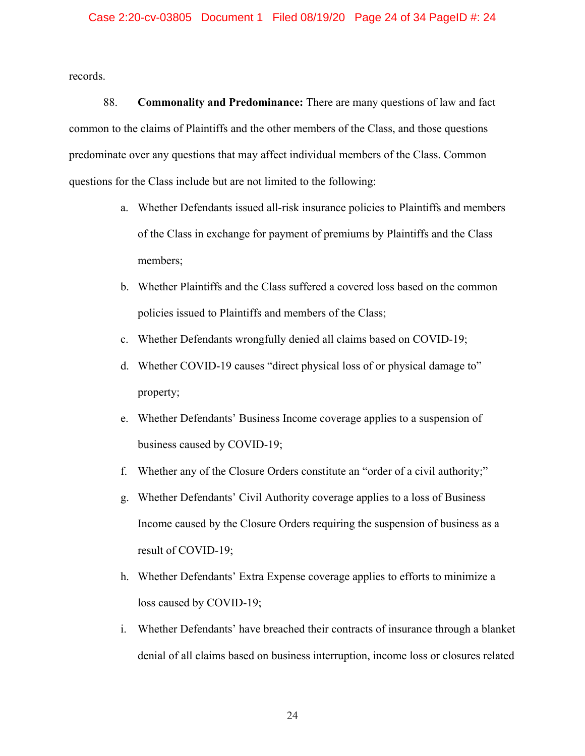records.

88. **Commonality and Predominance:** There are many questions of law and fact common to the claims of Plaintiffs and the other members of the Class, and those questions predominate over any questions that may affect individual members of the Class. Common questions for the Class include but are not limited to the following:

- a. Whether Defendants issued all-risk insurance policies to Plaintiffs and members of the Class in exchange for payment of premiums by Plaintiffs and the Class members;
- b. Whether Plaintiffs and the Class suffered a covered loss based on the common policies issued to Plaintiffs and members of the Class;
- c. Whether Defendants wrongfully denied all claims based on COVID-19;
- d. Whether COVID-19 causes "direct physical loss of or physical damage to" property;
- e. Whether Defendants' Business Income coverage applies to a suspension of business caused by COVID-19;
- f. Whether any of the Closure Orders constitute an "order of a civil authority;"
- g. Whether Defendants' Civil Authority coverage applies to a loss of Business Income caused by the Closure Orders requiring the suspension of business as a result of COVID-19;
- h. Whether Defendants' Extra Expense coverage applies to efforts to minimize a loss caused by COVID-19;
- i. Whether Defendants' have breached their contracts of insurance through a blanket denial of all claims based on business interruption, income loss or closures related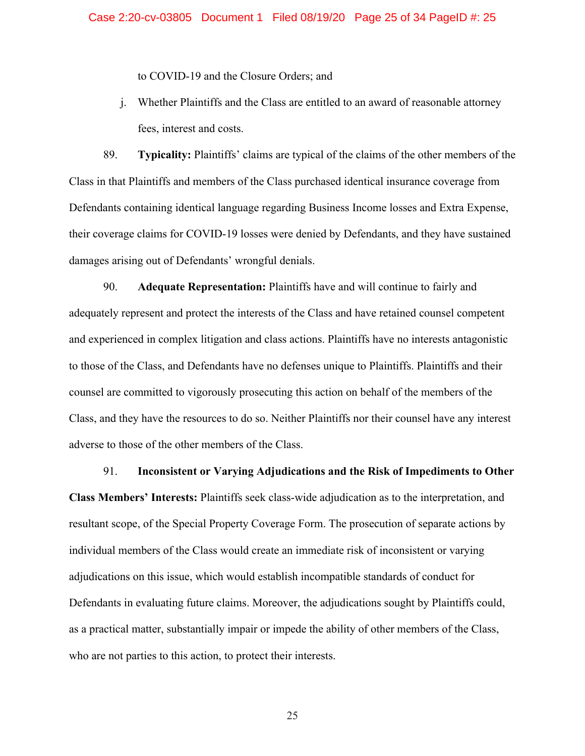to COVID-19 and the Closure Orders; and

j. Whether Plaintiffs and the Class are entitled to an award of reasonable attorney fees, interest and costs.

89. **Typicality:** Plaintiffs' claims are typical of the claims of the other members of the Class in that Plaintiffs and members of the Class purchased identical insurance coverage from Defendants containing identical language regarding Business Income losses and Extra Expense, their coverage claims for COVID-19 losses were denied by Defendants, and they have sustained damages arising out of Defendants' wrongful denials.

90. **Adequate Representation:** Plaintiffs have and will continue to fairly and adequately represent and protect the interests of the Class and have retained counsel competent and experienced in complex litigation and class actions. Plaintiffs have no interests antagonistic to those of the Class, and Defendants have no defenses unique to Plaintiffs. Plaintiffs and their counsel are committed to vigorously prosecuting this action on behalf of the members of the Class, and they have the resources to do so. Neither Plaintiffs nor their counsel have any interest adverse to those of the other members of the Class.

91. **Inconsistent or Varying Adjudications and the Risk of Impediments to Other Class Members' Interests:** Plaintiffs seek class-wide adjudication as to the interpretation, and resultant scope, of the Special Property Coverage Form. The prosecution of separate actions by individual members of the Class would create an immediate risk of inconsistent or varying adjudications on this issue, which would establish incompatible standards of conduct for Defendants in evaluating future claims. Moreover, the adjudications sought by Plaintiffs could, as a practical matter, substantially impair or impede the ability of other members of the Class, who are not parties to this action, to protect their interests.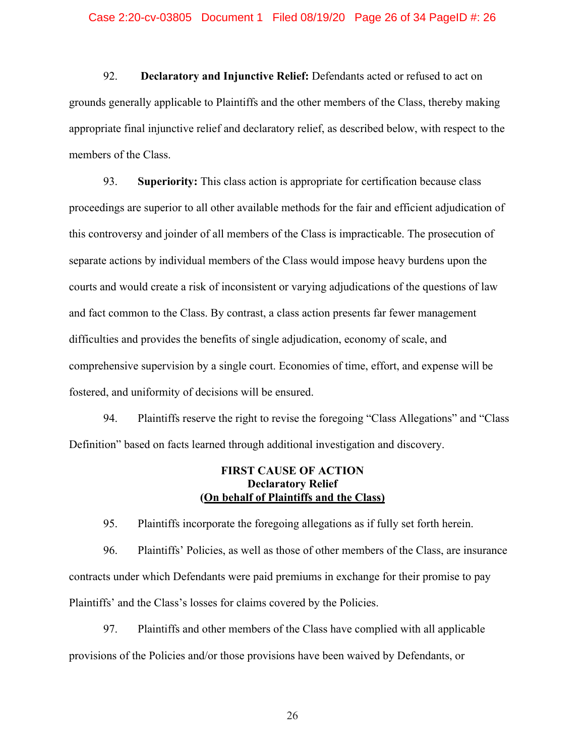92. **Declaratory and Injunctive Relief:** Defendants acted or refused to act on grounds generally applicable to Plaintiffs and the other members of the Class, thereby making appropriate final injunctive relief and declaratory relief, as described below, with respect to the members of the Class.

93. **Superiority:** This class action is appropriate for certification because class proceedings are superior to all other available methods for the fair and efficient adjudication of this controversy and joinder of all members of the Class is impracticable. The prosecution of separate actions by individual members of the Class would impose heavy burdens upon the courts and would create a risk of inconsistent or varying adjudications of the questions of law and fact common to the Class. By contrast, a class action presents far fewer management difficulties and provides the benefits of single adjudication, economy of scale, and comprehensive supervision by a single court. Economies of time, effort, and expense will be fostered, and uniformity of decisions will be ensured.

94. Plaintiffs reserve the right to revise the foregoing "Class Allegations" and "Class Definition" based on facts learned through additional investigation and discovery.

# **FIRST CAUSE OF ACTION Declaratory Relief (On behalf of Plaintiffs and the Class)**

95. Plaintiffs incorporate the foregoing allegations as if fully set forth herein.

96. Plaintiffs' Policies, as well as those of other members of the Class, are insurance contracts under which Defendants were paid premiums in exchange for their promise to pay Plaintiffs' and the Class's losses for claims covered by the Policies.

97. Plaintiffs and other members of the Class have complied with all applicable provisions of the Policies and/or those provisions have been waived by Defendants, or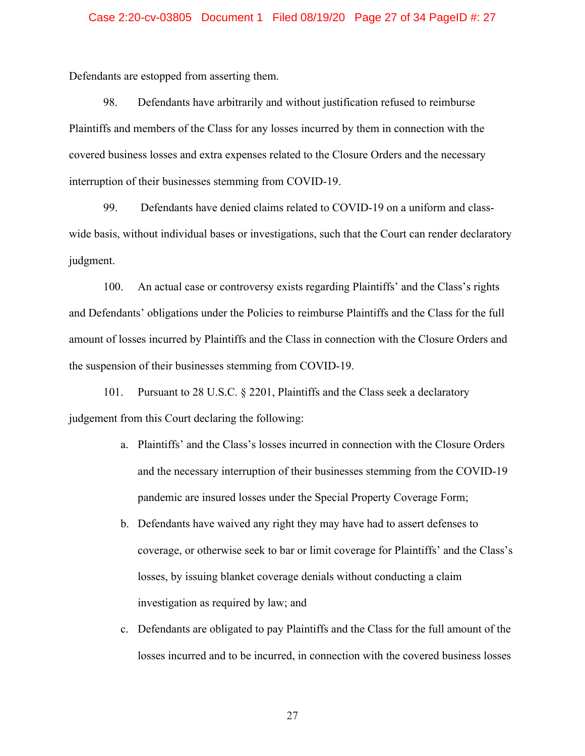### Case 2:20-cv-03805 Document 1 Filed 08/19/20 Page 27 of 34 PageID #: 27

Defendants are estopped from asserting them.

98. Defendants have arbitrarily and without justification refused to reimburse Plaintiffs and members of the Class for any losses incurred by them in connection with the covered business losses and extra expenses related to the Closure Orders and the necessary interruption of their businesses stemming from COVID-19.

99. Defendants have denied claims related to COVID-19 on a uniform and classwide basis, without individual bases or investigations, such that the Court can render declaratory judgment.

100. An actual case or controversy exists regarding Plaintiffs' and the Class's rights and Defendants' obligations under the Policies to reimburse Plaintiffs and the Class for the full amount of losses incurred by Plaintiffs and the Class in connection with the Closure Orders and the suspension of their businesses stemming from COVID-19.

101. Pursuant to 28 U.S.C. § 2201, Plaintiffs and the Class seek a declaratory judgement from this Court declaring the following:

- a. Plaintiffs' and the Class's losses incurred in connection with the Closure Orders and the necessary interruption of their businesses stemming from the COVID-19 pandemic are insured losses under the Special Property Coverage Form;
- b. Defendants have waived any right they may have had to assert defenses to coverage, or otherwise seek to bar or limit coverage for Plaintiffs' and the Class's losses, by issuing blanket coverage denials without conducting a claim investigation as required by law; and
- c. Defendants are obligated to pay Plaintiffs and the Class for the full amount of the losses incurred and to be incurred, in connection with the covered business losses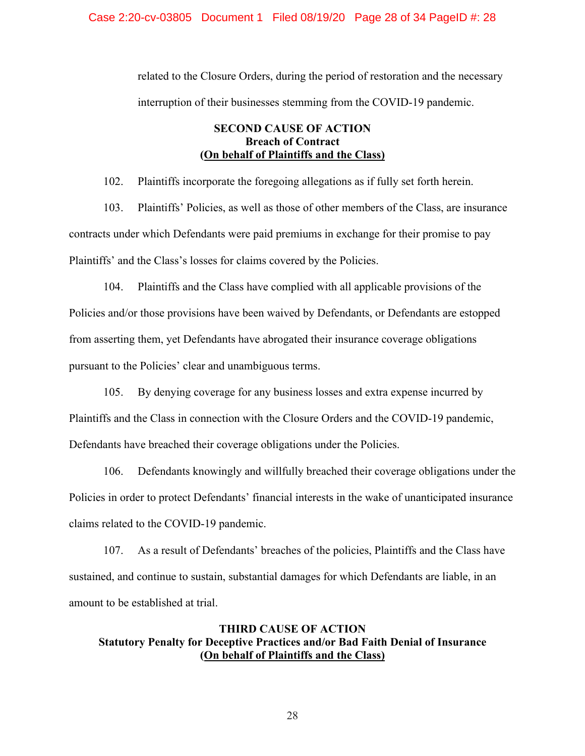### Case 2:20-cv-03805 Document 1 Filed 08/19/20 Page 28 of 34 PageID #: 28

related to the Closure Orders, during the period of restoration and the necessary interruption of their businesses stemming from the COVID-19 pandemic.

# **SECOND CAUSE OF ACTION Breach of Contract (On behalf of Plaintiffs and the Class)**

102. Plaintiffs incorporate the foregoing allegations as if fully set forth herein.

103. Plaintiffs' Policies, as well as those of other members of the Class, are insurance contracts under which Defendants were paid premiums in exchange for their promise to pay Plaintiffs' and the Class's losses for claims covered by the Policies.

104. Plaintiffs and the Class have complied with all applicable provisions of the Policies and/or those provisions have been waived by Defendants, or Defendants are estopped from asserting them, yet Defendants have abrogated their insurance coverage obligations pursuant to the Policies' clear and unambiguous terms.

105. By denying coverage for any business losses and extra expense incurred by

Plaintiffs and the Class in connection with the Closure Orders and the COVID-19 pandemic, Defendants have breached their coverage obligations under the Policies.

106. Defendants knowingly and willfully breached their coverage obligations under the Policies in order to protect Defendants' financial interests in the wake of unanticipated insurance claims related to the COVID-19 pandemic.

107. As a result of Defendants' breaches of the policies, Plaintiffs and the Class have sustained, and continue to sustain, substantial damages for which Defendants are liable, in an amount to be established at trial.

# **THIRD CAUSE OF ACTION Statutory Penalty for Deceptive Practices and/or Bad Faith Denial of Insurance (On behalf of Plaintiffs and the Class)**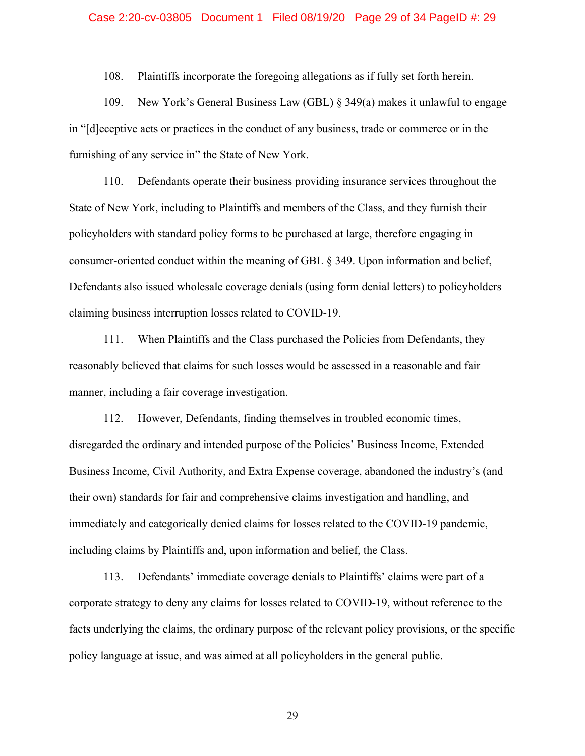### Case 2:20-cv-03805 Document 1 Filed 08/19/20 Page 29 of 34 PageID #: 29

108. Plaintiffs incorporate the foregoing allegations as if fully set forth herein.

109. New York's General Business Law (GBL) § 349(a) makes it unlawful to engage in "[d]eceptive acts or practices in the conduct of any business, trade or commerce or in the furnishing of any service in" the State of New York.

110. Defendants operate their business providing insurance services throughout the State of New York, including to Plaintiffs and members of the Class, and they furnish their policyholders with standard policy forms to be purchased at large, therefore engaging in consumer-oriented conduct within the meaning of GBL § 349. Upon information and belief, Defendants also issued wholesale coverage denials (using form denial letters) to policyholders claiming business interruption losses related to COVID-19.

111. When Plaintiffs and the Class purchased the Policies from Defendants, they reasonably believed that claims for such losses would be assessed in a reasonable and fair manner, including a fair coverage investigation.

112. However, Defendants, finding themselves in troubled economic times, disregarded the ordinary and intended purpose of the Policies' Business Income, Extended Business Income, Civil Authority, and Extra Expense coverage, abandoned the industry's (and their own) standards for fair and comprehensive claims investigation and handling, and immediately and categorically denied claims for losses related to the COVID-19 pandemic, including claims by Plaintiffs and, upon information and belief, the Class.

113. Defendants' immediate coverage denials to Plaintiffs' claims were part of a corporate strategy to deny any claims for losses related to COVID-19, without reference to the facts underlying the claims, the ordinary purpose of the relevant policy provisions, or the specific policy language at issue, and was aimed at all policyholders in the general public.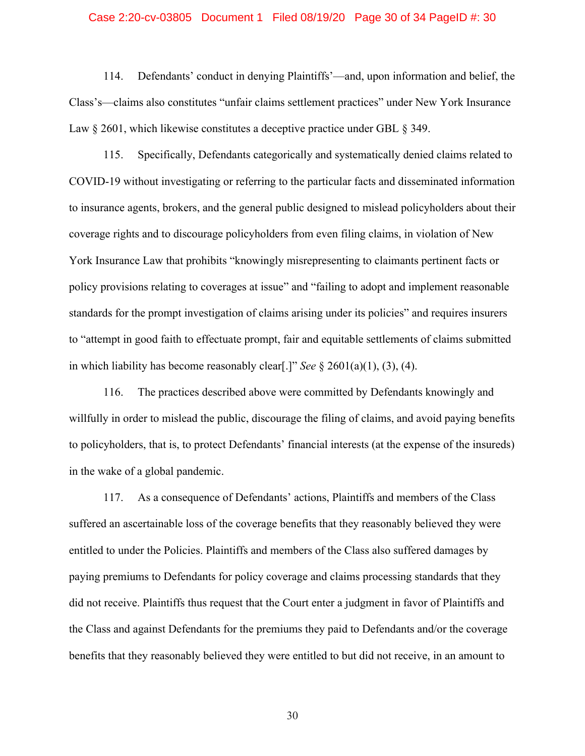### Case 2:20-cv-03805 Document 1 Filed 08/19/20 Page 30 of 34 PageID #: 30

114. Defendants' conduct in denying Plaintiffs'—and, upon information and belief, the Class's—claims also constitutes "unfair claims settlement practices" under New York Insurance Law  $\S 2601$ , which likewise constitutes a deceptive practice under GBL  $\S 349$ .

115. Specifically, Defendants categorically and systematically denied claims related to COVID-19 without investigating or referring to the particular facts and disseminated information to insurance agents, brokers, and the general public designed to mislead policyholders about their coverage rights and to discourage policyholders from even filing claims, in violation of New York Insurance Law that prohibits "knowingly misrepresenting to claimants pertinent facts or policy provisions relating to coverages at issue" and "failing to adopt and implement reasonable standards for the prompt investigation of claims arising under its policies" and requires insurers to "attempt in good faith to effectuate prompt, fair and equitable settlements of claims submitted in which liability has become reasonably clear[.]" *See* § 2601(a)(1), (3), (4).

116. The practices described above were committed by Defendants knowingly and willfully in order to mislead the public, discourage the filing of claims, and avoid paying benefits to policyholders, that is, to protect Defendants' financial interests (at the expense of the insureds) in the wake of a global pandemic.

117. As a consequence of Defendants' actions, Plaintiffs and members of the Class suffered an ascertainable loss of the coverage benefits that they reasonably believed they were entitled to under the Policies. Plaintiffs and members of the Class also suffered damages by paying premiums to Defendants for policy coverage and claims processing standards that they did not receive. Plaintiffs thus request that the Court enter a judgment in favor of Plaintiffs and the Class and against Defendants for the premiums they paid to Defendants and/or the coverage benefits that they reasonably believed they were entitled to but did not receive, in an amount to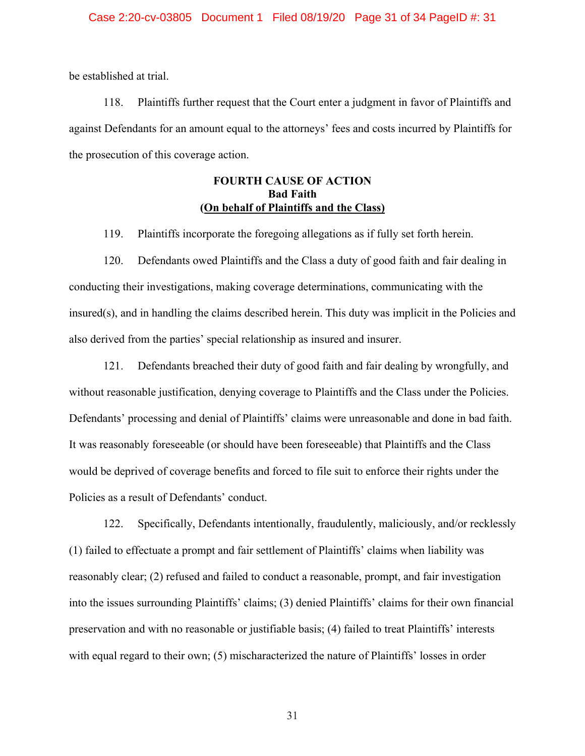be established at trial.

118. Plaintiffs further request that the Court enter a judgment in favor of Plaintiffs and against Defendants for an amount equal to the attorneys' fees and costs incurred by Plaintiffs for the prosecution of this coverage action.

# **FOURTH CAUSE OF ACTION Bad Faith (On behalf of Plaintiffs and the Class)**

119. Plaintiffs incorporate the foregoing allegations as if fully set forth herein.

120. Defendants owed Plaintiffs and the Class a duty of good faith and fair dealing in conducting their investigations, making coverage determinations, communicating with the insured(s), and in handling the claims described herein. This duty was implicit in the Policies and also derived from the parties' special relationship as insured and insurer.

121. Defendants breached their duty of good faith and fair dealing by wrongfully, and without reasonable justification, denying coverage to Plaintiffs and the Class under the Policies. Defendants' processing and denial of Plaintiffs' claims were unreasonable and done in bad faith. It was reasonably foreseeable (or should have been foreseeable) that Plaintiffs and the Class would be deprived of coverage benefits and forced to file suit to enforce their rights under the Policies as a result of Defendants' conduct.

122. Specifically, Defendants intentionally, fraudulently, maliciously, and/or recklessly (1) failed to effectuate a prompt and fair settlement of Plaintiffs' claims when liability was reasonably clear; (2) refused and failed to conduct a reasonable, prompt, and fair investigation into the issues surrounding Plaintiffs' claims; (3) denied Plaintiffs' claims for their own financial preservation and with no reasonable or justifiable basis; (4) failed to treat Plaintiffs' interests with equal regard to their own; (5) mischaracterized the nature of Plaintiffs' losses in order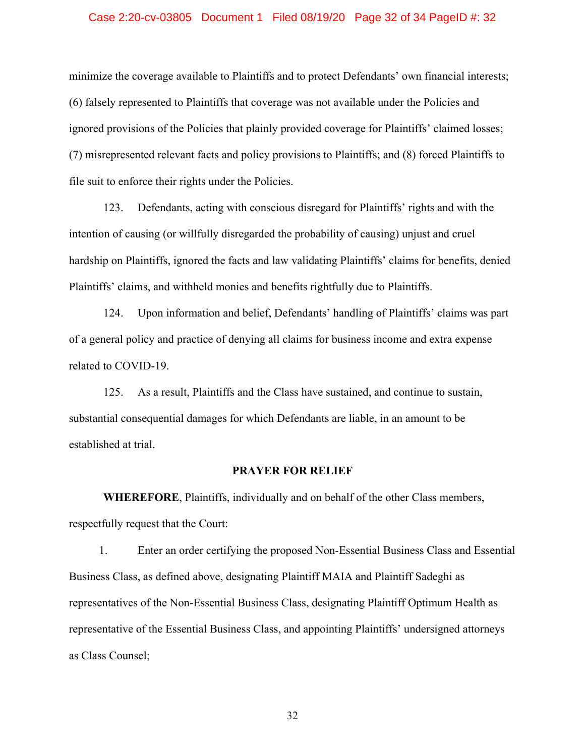### Case 2:20-cv-03805 Document 1 Filed 08/19/20 Page 32 of 34 PageID #: 32

minimize the coverage available to Plaintiffs and to protect Defendants' own financial interests; (6) falsely represented to Plaintiffs that coverage was not available under the Policies and ignored provisions of the Policies that plainly provided coverage for Plaintiffs' claimed losses; (7) misrepresented relevant facts and policy provisions to Plaintiffs; and (8) forced Plaintiffs to file suit to enforce their rights under the Policies.

123. Defendants, acting with conscious disregard for Plaintiffs' rights and with the intention of causing (or willfully disregarded the probability of causing) unjust and cruel hardship on Plaintiffs, ignored the facts and law validating Plaintiffs' claims for benefits, denied Plaintiffs' claims, and withheld monies and benefits rightfully due to Plaintiffs.

124. Upon information and belief, Defendants' handling of Plaintiffs' claims was part of a general policy and practice of denying all claims for business income and extra expense related to COVID-19.

125. As a result, Plaintiffs and the Class have sustained, and continue to sustain, substantial consequential damages for which Defendants are liable, in an amount to be established at trial.

#### **PRAYER FOR RELIEF**

**WHEREFORE**, Plaintiffs, individually and on behalf of the other Class members, respectfully request that the Court:

1. Enter an order certifying the proposed Non-Essential Business Class and Essential Business Class, as defined above, designating Plaintiff MAIA and Plaintiff Sadeghi as representatives of the Non-Essential Business Class, designating Plaintiff Optimum Health as representative of the Essential Business Class, and appointing Plaintiffs' undersigned attorneys as Class Counsel;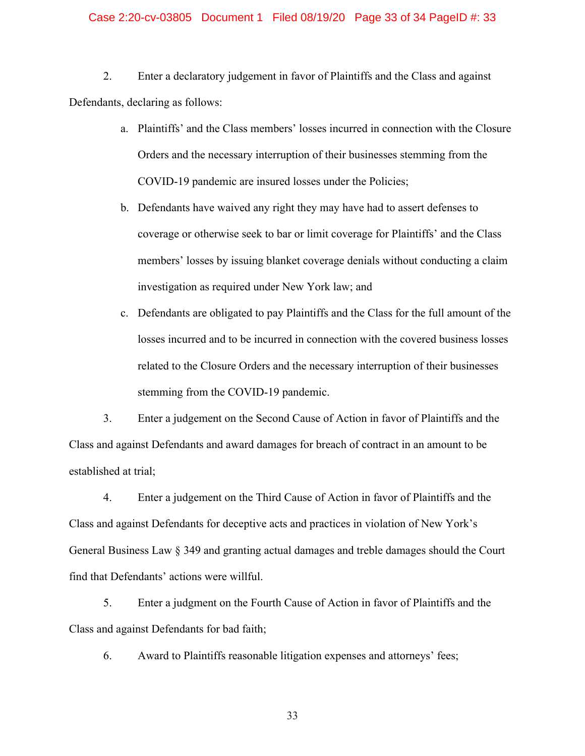### Case 2:20-cv-03805 Document 1 Filed 08/19/20 Page 33 of 34 PageID #: 33

2. Enter a declaratory judgement in favor of Plaintiffs and the Class and against Defendants, declaring as follows:

- a. Plaintiffs' and the Class members' losses incurred in connection with the Closure Orders and the necessary interruption of their businesses stemming from the COVID-19 pandemic are insured losses under the Policies;
- b. Defendants have waived any right they may have had to assert defenses to coverage or otherwise seek to bar or limit coverage for Plaintiffs' and the Class members' losses by issuing blanket coverage denials without conducting a claim investigation as required under New York law; and
- c. Defendants are obligated to pay Plaintiffs and the Class for the full amount of the losses incurred and to be incurred in connection with the covered business losses related to the Closure Orders and the necessary interruption of their businesses stemming from the COVID-19 pandemic.

3. Enter a judgement on the Second Cause of Action in favor of Plaintiffs and the Class and against Defendants and award damages for breach of contract in an amount to be established at trial;

4. Enter a judgement on the Third Cause of Action in favor of Plaintiffs and the Class and against Defendants for deceptive acts and practices in violation of New York's General Business Law § 349 and granting actual damages and treble damages should the Court find that Defendants' actions were willful.

5. Enter a judgment on the Fourth Cause of Action in favor of Plaintiffs and the Class and against Defendants for bad faith;

6. Award to Plaintiffs reasonable litigation expenses and attorneys' fees;